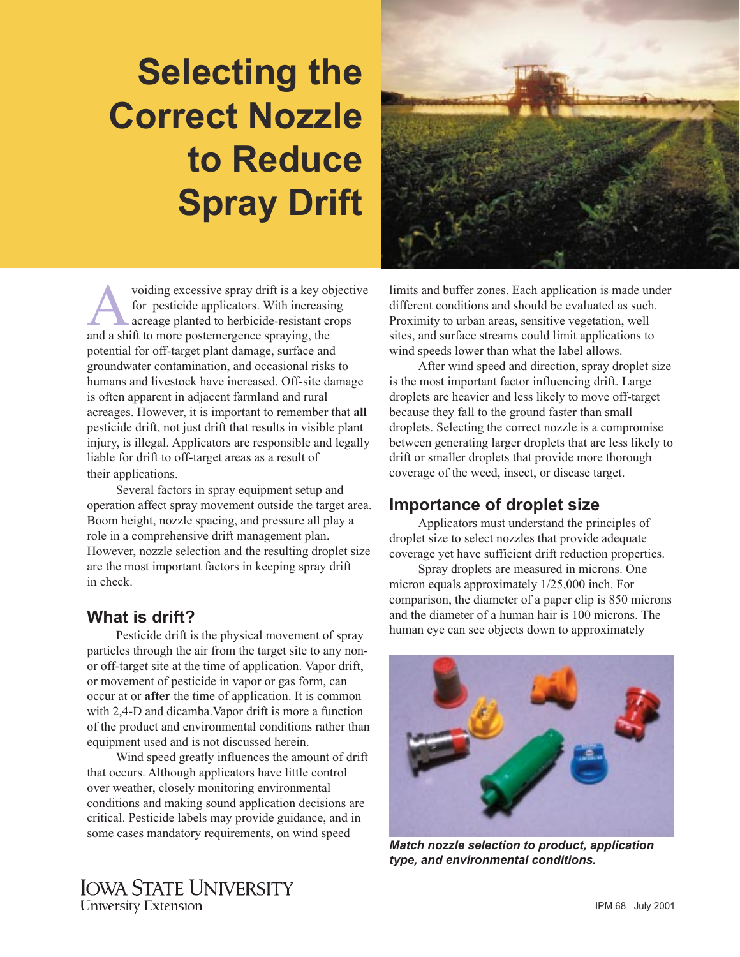# **Selecting the Correct Nozzle to Reduce Spray Drift**

voiding excessive spray drift is a key objective for pesticide applicators. With increasing acreage planted to herbicide-resistant crops and a shift to more postemergence spraying, the potential for off-target plant damage, surface and groundwater contamination, and occasional risks to humans and livestock have increased. Off-site damage is often apparent in adjacent farmland and rural acreages. However, it is important to remember that **all** pesticide drift, not just drift that results in visible plant injury, is illegal. Applicators are responsible and legally liable for drift to off-target areas as a result of their applications.

Several factors in spray equipment setup and operation affect spray movement outside the target area. Boom height, nozzle spacing, and pressure all play a role in a comprehensive drift management plan. However, nozzle selection and the resulting droplet size are the most important factors in keeping spray drift in check.

# **What is drift?**

Pesticide drift is the physical movement of spray particles through the air from the target site to any nonor off-target site at the time of application. Vapor drift, or movement of pesticide in vapor or gas form, can occur at or **after** the time of application. It is common with 2,4-D and dicamba.Vapor drift is more a function of the product and environmental conditions rather than equipment used and is not discussed herein.

Wind speed greatly influences the amount of drift that occurs. Although applicators have little control over weather, closely monitoring environmental conditions and making sound application decisions are critical. Pesticide labels may provide guidance, and in some cases mandatory requirements, on wind speed



limits and buffer zones. Each application is made under different conditions and should be evaluated as such. Proximity to urban areas, sensitive vegetation, well sites, and surface streams could limit applications to wind speeds lower than what the label allows.

After wind speed and direction, spray droplet size is the most important factor influencing drift. Large droplets are heavier and less likely to move off-target because they fall to the ground faster than small droplets. Selecting the correct nozzle is a compromise between generating larger droplets that are less likely to drift or smaller droplets that provide more thorough coverage of the weed, insect, or disease target.

# **Importance of droplet size**

Applicators must understand the principles of droplet size to select nozzles that provide adequate coverage yet have sufficient drift reduction properties.

Spray droplets are measured in microns. One micron equals approximately 1/25,000 inch. For comparison, the diameter of a paper clip is 850 microns and the diameter of a human hair is 100 microns. The human eye can see objects down to approximately



*Match nozzle selection to product, application type, and environmental conditions.*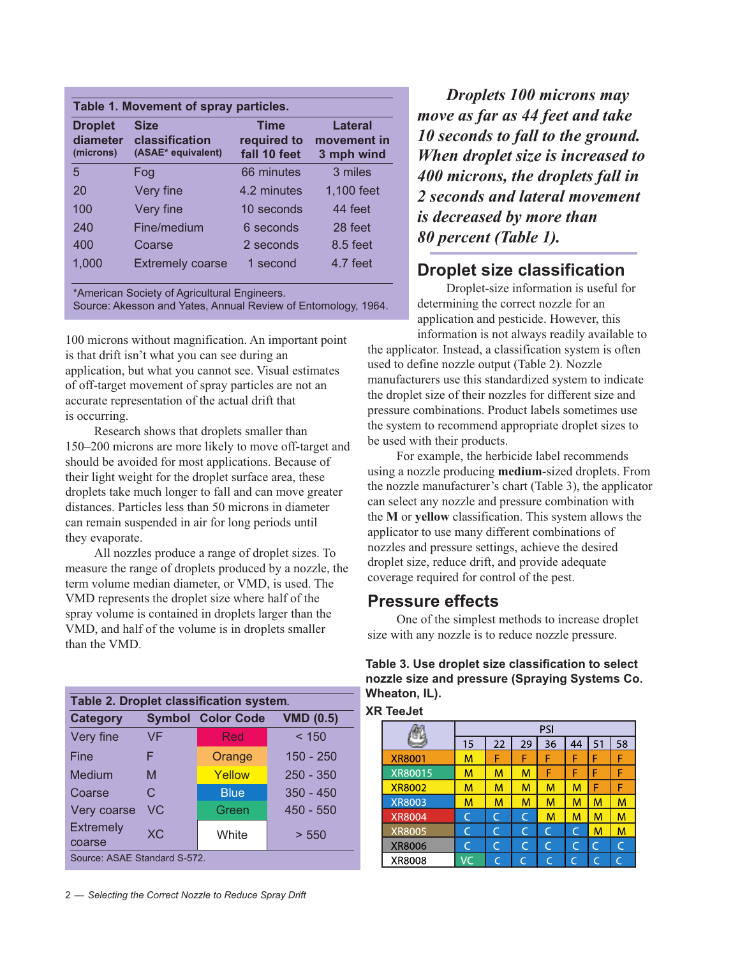| Table 1. Movement of spray particles.   |                                                     |                                            |                                      |  |  |
|-----------------------------------------|-----------------------------------------------------|--------------------------------------------|--------------------------------------|--|--|
| <b>Droplet</b><br>diameter<br>(microns) | <b>Size</b><br>classification<br>(ASAE* equivalent) | <b>Time</b><br>required to<br>fall 10 feet | Lateral<br>movement in<br>3 mph wind |  |  |
| 5                                       | Fog                                                 | 66 minutes                                 | 3 miles                              |  |  |
| 20                                      | Very fine                                           | 4.2 minutes                                | 1,100 feet                           |  |  |
| 100                                     | Very fine                                           | 10 seconds                                 | 44 feet                              |  |  |
| 240                                     | Fine/medium                                         | 6 seconds                                  | 28 feet                              |  |  |
| 400                                     | Coarse                                              | 2 seconds                                  | $8.5$ feet                           |  |  |
| 1,000                                   | <b>Extremely coarse</b>                             | 1 second                                   | 4.7 feet                             |  |  |

\*American Society of Agricultural Engineers.

Source: Akesson and Yates, Annual Review of Entomology, 1964.

100 microns without magnification. An important point is that drift isn't what you can see during an application, but what you cannot see. Visual estimates of off-target movement of spray particles are not an accurate representation of the actual drift that is occurring.

Research shows that droplets smaller than 150–200 microns are more likely to move off-target and should be avoided for most applications. Because of their light weight for the droplet surface area, these droplets take much longer to fall and can move greater distances. Particles less than 50 microns in diameter can remain suspended in air for long periods until they evaporate.

All nozzles produce a range of droplet sizes. To measure the range of droplets produced by a nozzle, the term volume median diameter, or VMD, is used. The VMD represents the droplet size where half of the spray volume is contained in droplets larger than the VMD, and half of the volume is in droplets smaller than the VMD.

| Table 2. Droplet classification system. |           |                          |                  |  |
|-----------------------------------------|-----------|--------------------------|------------------|--|
| <b>Category</b>                         |           | <b>Symbol Color Code</b> | <b>VMD (0.5)</b> |  |
| Very fine                               | <b>VF</b> | Red                      | < 150            |  |
| Fine                                    | F         | Orange                   | 150 - 250        |  |
| Medium                                  | M         | Yellow                   | $250 - 350$      |  |
| Coarse                                  | C.        | <b>Blue</b>              | $350 - 450$      |  |
| Very coarse                             | VC.       | Green                    | $450 - 550$      |  |
| <b>Extremely</b><br>coarse              | XC        | White                    | > 550            |  |
| Source: ASAE Standard S-572.            |           |                          |                  |  |

2 — *Selecting the Correct Nozzle to Reduce Spray Drift*

*Droplets 100 microns may move as far as 44 feet and take 10 seconds to fall to the ground. When droplet size is increased to 400 microns, the droplets fall in 2 seconds and lateral movement is decreased by more than 80 percent (Table 1).*

# **Droplet size classification**

Droplet-size information is useful for determining the correct nozzle for an application and pesticide. However, this information is not always readily available to

the applicator. Instead, a classification system is often used to define nozzle output (Table 2). Nozzle manufacturers use this standardized system to indicate the droplet size of their nozzles for different size and pressure combinations. Product labels sometimes use the system to recommend appropriate droplet sizes to be used with their products.

For example, the herbicide label recommends using a nozzle producing **medium**-sized droplets. From the nozzle manufacturer's chart (Table 3), the applicator can select any nozzle and pressure combination with the **M** or **yellow** classification. This system allows the applicator to use many different combinations of nozzles and pressure settings, achieve the desired droplet size, reduce drift, and provide adequate coverage required for control of the pest.

# **Pressure effects**

One of the simplest methods to increase droplet size with any nozzle is to reduce nozzle pressure.

### **Table 3. Use droplet size classification to select nozzle size and pressure (Spraying Systems Co. Wheaton, IL).**

| <b>XR TeeJet</b> |  |
|------------------|--|
|                  |  |

|               | PSI |    |    |    |    |    |    |
|---------------|-----|----|----|----|----|----|----|
|               | 15  | 22 | 29 | 36 | 44 | 51 | 58 |
| <b>XR8001</b> | М   | F  | F  | F  | F  | F  | F  |
| XR80015       | М   | М  | Μ  | F  | F  | F  | F  |
| <b>XR8002</b> | M   | м  | Μ  | Μ  | Μ  | F  | F  |
| <b>XR8003</b> | М   | м  | М  | М  | Μ  | М  | M  |
| <b>XR8004</b> |     | C  | Ċ  | м  | м  | М  | м  |
| XR8005        |     | C  | C  | C  | C  | М  | м  |
| <b>XR8006</b> | C   | C  | Ċ  |    | C  | C  |    |
| XR8008        | VС  |    |    |    | C  |    |    |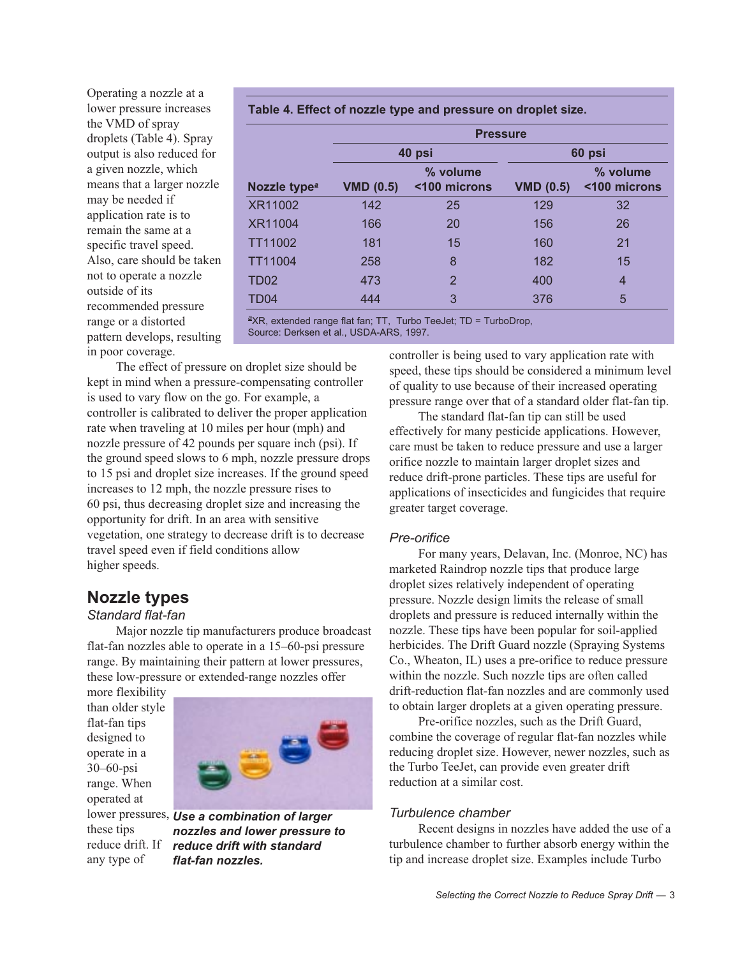Operating a nozzle at a lower pressure increases the VMD of spray droplets (Table 4). Spray output is also reduced for a given nozzle, which means that a larger nozzle may be needed if application rate is to remain the same at a specific travel speed. Also, care should be taken not to operate a nozzle outside of its recommended pressure range or a distorted pattern develops, resulting in poor coverage.

|                          | <b>Pressure</b>                              |        |                  |                          |  |  |
|--------------------------|----------------------------------------------|--------|------------------|--------------------------|--|--|
|                          |                                              | 40 psi | 60 psi           |                          |  |  |
| Nozzle type <sup>a</sup> | % volume<br><b>VMD (0.5)</b><br><100 microns |        | <b>VMD (0.5)</b> | % volume<br><100 microns |  |  |
| XR11002                  | 142                                          | 25     | 129              | 32                       |  |  |
| XR11004                  | 166                                          | 20     | 156              | 26                       |  |  |
| TT11002                  | 181                                          | 15     | 160              | 21                       |  |  |
| <b>TT11004</b>           | 258                                          | 8      | 182              | 15                       |  |  |
| TD <sub>02</sub>         | 473                                          | 2      | 400              | 4                        |  |  |
| TD <sub>04</sub>         | 444                                          | 3      | 376              | 5                        |  |  |

XR, extended range flat fan; TT, Turbo TeeJet; TD = TurboDrop, Source: Derksen et al., USDA-ARS, 1997.

The effect of pressure on droplet size should be kept in mind when a pressure-compensating controller is used to vary flow on the go. For example, a controller is calibrated to deliver the proper application rate when traveling at 10 miles per hour (mph) and nozzle pressure of 42 pounds per square inch (psi). If the ground speed slows to 6 mph, nozzle pressure drops to 15 psi and droplet size increases. If the ground speed increases to 12 mph, the nozzle pressure rises to 60 psi, thus decreasing droplet size and increasing the opportunity for drift. In an area with sensitive vegetation, one strategy to decrease drift is to decrease travel speed even if field conditions allow higher speeds.

# **Nozzle types**

#### *Standard flat-fan*

Major nozzle tip manufacturers produce broadcast flat-fan nozzles able to operate in a 15–60-psi pressure range. By maintaining their pattern at lower pressures, these low-pressure or extended-range nozzles offer

more flexibility than older style flat-fan tips designed to operate in a 30–60-psi range. When operated at

these tips any type of



lower pressures, *Use a combination of larger* reduce drift. If *reduce drift with standard nozzles and lower pressure to flat-fan nozzles.*

controller is being used to vary application rate with speed, these tips should be considered a minimum level of quality to use because of their increased operating pressure range over that of a standard older flat-fan tip.

The standard flat-fan tip can still be used effectively for many pesticide applications. However, care must be taken to reduce pressure and use a larger orifice nozzle to maintain larger droplet sizes and reduce drift-prone particles. These tips are useful for applications of insecticides and fungicides that require greater target coverage.

## *Pre-orifice*

For many years, Delavan, Inc. (Monroe, NC) has marketed Raindrop nozzle tips that produce large droplet sizes relatively independent of operating pressure. Nozzle design limits the release of small droplets and pressure is reduced internally within the nozzle. These tips have been popular for soil-applied herbicides. The Drift Guard nozzle (Spraying Systems Co., Wheaton, IL) uses a pre-orifice to reduce pressure within the nozzle. Such nozzle tips are often called drift-reduction flat-fan nozzles and are commonly used to obtain larger droplets at a given operating pressure.

Pre-orifice nozzles, such as the Drift Guard, combine the coverage of regular flat-fan nozzles while reducing droplet size. However, newer nozzles, such as the Turbo TeeJet, can provide even greater drift reduction at a similar cost.

## *Turbulence chamber*

Recent designs in nozzles have added the use of a turbulence chamber to further absorb energy within the tip and increase droplet size. Examples include Turbo